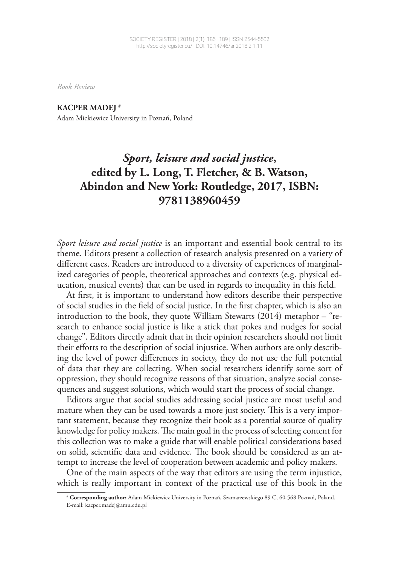*Book Review*

**KACPER MADEJ <sup>1</sup>** # Adam Mickiewicz University in Poznań, Poland

## *Sport, leisure and social justice***, edited by L. Long, T. Fletcher, & B. Watson, Abindon and New York: Routledge, 2017, ISBN: 9781138960459**

*Sport leisure and social justice* is an important and essential book central to its theme. Editors present a collection of research analysis presented on a variety of different cases. Readers are introduced to a diversity of experiences of marginalized categories of people, theoretical approaches and contexts (e.g. physical education, musical events) that can be used in regards to inequality in this field.

At first, it is important to understand how editors describe their perspective of social studies in the field of social justice. In the first chapter, which is also an introduction to the book, they quote William Stewarts (2014) metaphor – "research to enhance social justice is like a stick that pokes and nudges for social change". Editors directly admit that in their opinion researchers should not limit their efforts to the description of social injustice. When authors are only describing the level of power differences in society, they do not use the full potential of data that they are collecting. When social researchers identify some sort of oppression, they should recognize reasons of that situation, analyze social consequences and suggest solutions, which would start the process of social change.

Editors argue that social studies addressing social justice are most useful and mature when they can be used towards a more just society. This is a very important statement, because they recognize their book as a potential source of quality knowledge for policy makers. The main goal in the process of selecting content for this collection was to make a guide that will enable political considerations based on solid, scientific data and evidence. The book should be considered as an attempt to increase the level of cooperation between academic and policy makers.

One of the main aspects of the way that editors are using the term injustice, which is really important in context of the practical use of this book in the

<sup>1</sup> # **Corresponding author:** Adam Mickiewicz University in Poznań, Szamarzewskiego 89 C, 60-568 Poznań, Poland. E-mail: kacper.madej@amu.edu.pl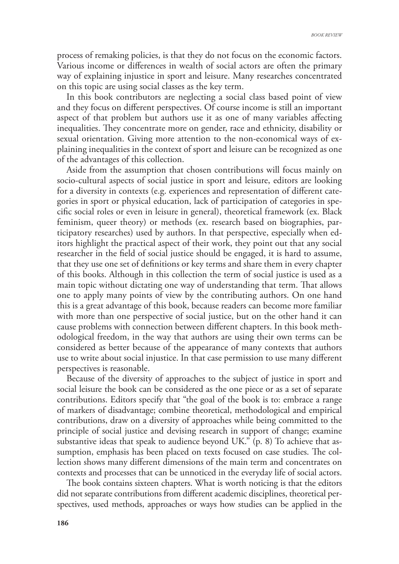process of remaking policies, is that they do not focus on the economic factors. Various income or differences in wealth of social actors are often the primary way of explaining injustice in sport and leisure. Many researches concentrated on this topic are using social classes as the key term.

In this book contributors are neglecting a social class based point of view and they focus on different perspectives. Of course income is still an important aspect of that problem but authors use it as one of many variables affecting inequalities. They concentrate more on gender, race and ethnicity, disability or sexual orientation. Giving more attention to the non-economical ways of explaining inequalities in the context of sport and leisure can be recognized as one of the advantages of this collection.

Aside from the assumption that chosen contributions will focus mainly on socio-cultural aspects of social justice in sport and leisure, editors are looking for a diversity in contexts (e.g. experiences and representation of different categories in sport or physical education, lack of participation of categories in specific social roles or even in leisure in general), theoretical framework (ex. Black feminism, queer theory) or methods (ex. research based on biographies, participatory researches) used by authors. In that perspective, especially when editors highlight the practical aspect of their work, they point out that any social researcher in the field of social justice should be engaged, it is hard to assume, that they use one set of definitions or key terms and share them in every chapter of this books. Although in this collection the term of social justice is used as a main topic without dictating one way of understanding that term. That allows one to apply many points of view by the contributing authors. On one hand this is a great advantage of this book, because readers can become more familiar with more than one perspective of social justice, but on the other hand it can cause problems with connection between different chapters. In this book methodological freedom, in the way that authors are using their own terms can be considered as better because of the appearance of many contexts that authors use to write about social injustice. In that case permission to use many different perspectives is reasonable.

Because of the diversity of approaches to the subject of justice in sport and social leisure the book can be considered as the one piece or as a set of separate contributions. Editors specify that "the goal of the book is to: embrace a range of markers of disadvantage; combine theoretical, methodological and empirical contributions, draw on a diversity of approaches while being committed to the principle of social justice and devising research in support of change; examine substantive ideas that speak to audience beyond UK." (p. 8) To achieve that assumption, emphasis has been placed on texts focused on case studies. The collection shows many different dimensions of the main term and concentrates on contexts and processes that can be unnoticed in the everyday life of social actors.

The book contains sixteen chapters. What is worth noticing is that the editors did not separate contributions from different academic disciplines, theoretical perspectives, used methods, approaches or ways how studies can be applied in the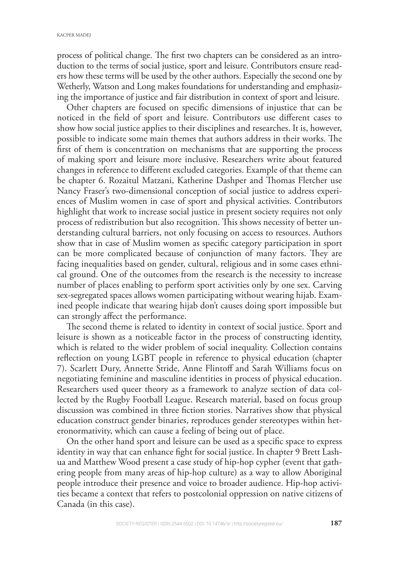process of political change. The first two chapters can be considered as an introduction to the terms of social justice, sport and leisure. Contributors ensure readers how these terms will be used by the other authors. Especially the second one by Wetherly, Watson and Long makes foundations for understanding and emphasizing the importance of justice and fair distribution in context of sport and leisure.

Other chapters are focused on specific dimensions of injustice that can be noticed in the field of sport and leisure. Contributors use different cases to show how social justice applies to their disciplines and researches. It is, however, possible to indicate some main themes that authors address in their works. The first of them is concentration on mechanisms that are supporting the process of making sport and leisure more inclusive. Researchers write about featured changes in reference to different excluded categories. Example of that theme can be chapter 6. Rozaitul Matzani, Katherine Dashper and Thomas Fletcher use Nancy Fraser's two-dimensional conception of social justice to address experiences of Muslim women in case of sport and physical activities. Contributors highlight that work to increase social justice in present society requires not only process of redistribution but also recognition. This shows necessity of better understanding cultural barriers, not only focusing on access to resources. Authors show that in case of Muslim women as specific category participation in sport can be more complicated because of conjunction of many factors. They are facing inequalities based on gender, cultural, religious and in some cases ethnical ground. One of the outcomes from the research is the necessity to increase number of places enabling to perform sport activities only by one sex. Carving sex-segregated spaces allows women participating without wearing hijab. Examined people indicate that wearing hijab don't causes doing sport impossible but can strongly affect the performance.

The second theme is related to identity in context of social justice. Sport and leisure is shown as a noticeable factor in the process of constructing identity, which is related to the wider problem of social inequality. Collection contains reflection on young LGBT people in reference to physical education (chapter 7). Scarlett Dury, Annette Stride, Anne Flintoff and Sarah Williams focus on negotiating feminine and masculine identities in process of physical education. Researchers used queer theory as a framework to analyze section of data collected by the Rugby Football League. Research material, based on focus group discussion was combined in three fiction stories. Narratives show that physical education construct gender binaries, reproduces gender stereotypes within heteronormativity, which can cause a feeling of being out of place.

On the other hand sport and leisure can be used as a specific space to express identity in way that can enhance fight for social justice. In chapter 9 Brett Lashua and Matthew Wood present a case study of hip-hop cypher (event that gathering people from many areas of hip-hop culture) as a way to allow Aboriginal people introduce their presence and voice to broader audience. Hip-hop activities became a context that refers to postcolonial oppression on native citizens of Canada (in this case).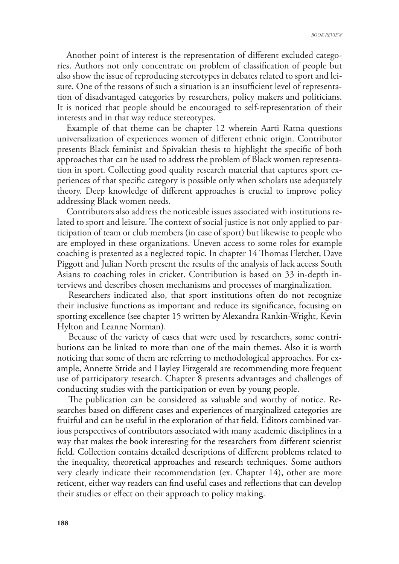Another point of interest is the representation of different excluded categories. Authors not only concentrate on problem of classification of people but also show the issue of reproducing stereotypes in debates related to sport and leisure. One of the reasons of such a situation is an insufficient level of representation of disadvantaged categories by researchers, policy makers and politicians. It is noticed that people should be encouraged to self-representation of their interests and in that way reduce stereotypes.

Example of that theme can be chapter 12 wherein Aarti Ratna questions universalization of experiences women of different ethnic origin. Contributor presents Black feminist and Spivakian thesis to highlight the specific of both approaches that can be used to address the problem of Black women representation in sport. Collecting good quality research material that captures sport experiences of that specific category is possible only when scholars use adequately theory. Deep knowledge of different approaches is crucial to improve policy addressing Black women needs.

Contributors also address the noticeable issues associated with institutions related to sport and leisure. The context of social justice is not only applied to participation of team or club members (in case of sport) but likewise to people who are employed in these organizations. Uneven access to some roles for example coaching is presented as a neglected topic. In chapter 14 Thomas Fletcher, Dave Piggott and Julian North present the results of the analysis of lack access South Asians to coaching roles in cricket. Contribution is based on 33 in-depth interviews and describes chosen mechanisms and processes of marginalization.

Researchers indicated also, that sport institutions often do not recognize their inclusive functions as important and reduce its significance, focusing on sporting excellence (see chapter 15 written by Alexandra Rankin-Wright, Kevin Hylton and Leanne Norman).

Because of the variety of cases that were used by researchers, some contributions can be linked to more than one of the main themes. Also it is worth noticing that some of them are referring to methodological approaches. For example, Annette Stride and Hayley Fitzgerald are recommending more frequent use of participatory research. Chapter 8 presents advantages and challenges of conducting studies with the participation or even by young people.

The publication can be considered as valuable and worthy of notice. Researches based on different cases and experiences of marginalized categories are fruitful and can be useful in the exploration of that !eld. Editors combined various perspectives of contributors associated with many academic disciplines in a way that makes the book interesting for the researchers from different scientist field. Collection contains detailed descriptions of different problems related to the inequality, theoretical approaches and research techniques. Some authors very clearly indicate their recommendation (ex. Chapter 14), other are more reticent, either way readers can find useful cases and reflections that can develop their studies or effect on their approach to policy making.